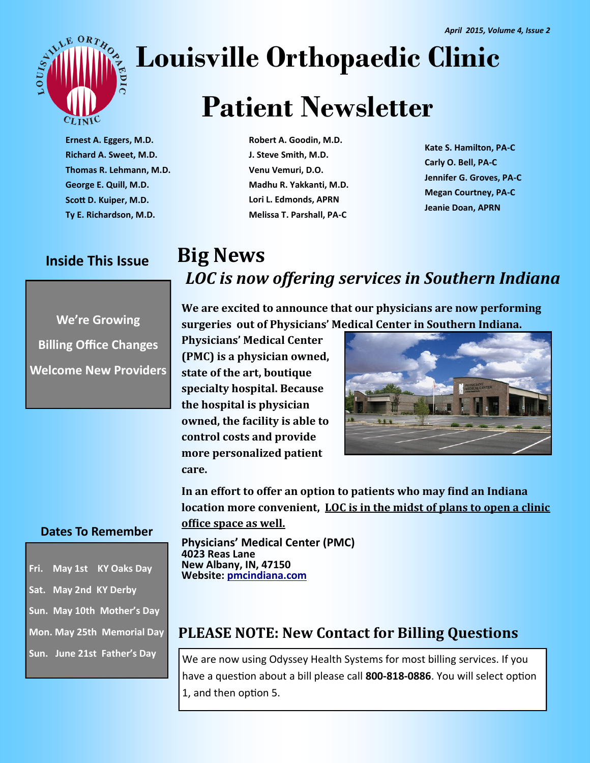

# **Louisville Orthopaedic Clinic**

# **Patient Newsletter**

**Ernest A. Eggers, M.D. Richard A. Sweet, M.D. Thomas R. Lehmann, M.D. George E. Quill, M.D. Scott D. Kuiper, M.D. Ty E. Richardson, M.D.**

### **Inside This Issue**

**We're Growing Billing Office Changes Welcome New Providers**

**Robert A. Goodin, M.D. J. Steve Smith, M.D. Venu Vemuri, D.O. Madhu R. Yakkanti, M.D. Lori L. Edmonds, APRN Melissa T. Parshall, PA-C**

**Kate S. Hamilton, PA-C Carly O. Bell, PA-C Jennifer G. Groves, PA-C Megan Courtney, PA-C Jeanie Doan, APRN**

## **Big News** *LOC is now offering services in Southern Indiana*

**We are excited to announce that our physicians are now performing surgeries out of Physicians' Medical Center in Southern Indiana.** 

**Physicians' Medical Center (PMC) is a physician owned, state of the art, boutique specialty hospital. Because the hospital is physician owned, the facility is able to control costs and provide more personalized patient care.** 



**In an effort to offer an option to patients who may find an Indiana location more convenient, LOC is in the midst of plans to open a clinic office space as well.** 

**Physicians' Medical Center (PMC) 4023 Reas Lane New Albany, IN, 47150 Website: [p](http://www.pmcindiana.com/C:/Users/MSPILLMAN/Documents/_mm)[mcindiana.com](http://www.pmcindiana.com/)**

#### **Dates To Remember**

**Fri. May 1st KY Oaks Day Sat. May 2nd KY Derby Sun. May 10th Mother's Day Mon. May 25th Memorial Day Sun. June 21st Father's Day**

### **PLEASE NOTE: New Contact for Billing Questions**

We are now using Odyssey Health Systems for most billing services. If you have a question about a bill please call **800-818-0886**. You will select option 1, and then option 5.